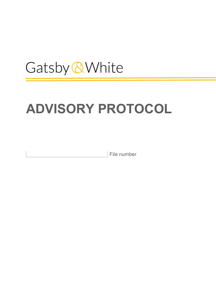# Gatsby & White

# ADVISORY PROTOCOL

File number

└<br>│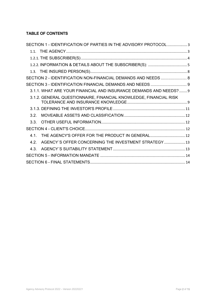# TABLE OF CONTENTS

| SECTION 1 - IDENTIFICATION OF PARTIES IN THE ADVISORY PROTOCOL3   |
|-------------------------------------------------------------------|
|                                                                   |
|                                                                   |
|                                                                   |
|                                                                   |
| SECTION 2 - IDENTIFICATION NON-FINANCIAL DEMANDS AND NEEDS  8     |
|                                                                   |
| 3.1.1. WHAT ARE YOUR FINANCIAL AND INSURANCE DEMANDS AND NEEDS? 9 |
| 3.1.2. GENERAL QUESTIONNAIRE, FINANCIAL KNOWLEDGE, FINANCIAL RISK |
|                                                                   |
| 32                                                                |
| 3 3 L                                                             |
|                                                                   |
| THE AGENCY'S OFFER FOR THE PRODUCT IN GENERAL 12<br>41            |
| AGENCY'S OFFER CONCERNING THE INVESTMENT STRATEGY 13<br>42        |
| 4.3                                                               |
|                                                                   |
|                                                                   |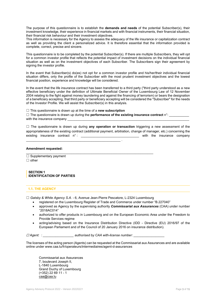The purpose of this questionnaire is to establish the **demands and needs** of the potential Subscriber(s), their investment knowledge, their experience in financial markets and with financial instruments, their financial situation, their financial risk behaviour and their investment objectives.

This information is necessary for the Agency to assess the adequacy of the life insurance or capitalization contract as well as providing the client a personalized advice. It is therefore essential that the information provided is complete, correct, precise and sincere.

This questionnaire is to be completed by the potential Subscriber(s). If there are multiple Subscribers, they will opt for a common investor profile that reflects the potential impact of investment decisions on the individual financial situation as well as on the investment objectives of each Subscriber. The Subscribers sign their agreement by signing the investor profile.

In the event that Subscriber(s) do(es) not opt for a common investor profile and his/her/their individual financial situation differs, only the profile of the Subscriber with the most prudent investment objectives and the lowest financial position, experience and knowledge will be considered.

In the event that the life insurance contract has been transferred to a third party ("third party understood as a new effective beneficiary under the definition of Ultimate Beneficial Owner of the Luxembourg Law of 12 November 2004 relating to the fight against money laundering and against the financing of terrorism) or bears the designation of a beneficiary accepting, that third party or beneficiary accepting will be considered the "Subscriber" for the needs of the Investor Profile. We will assist the Subscriber(s) in this analysis.

 $\Box$  This questionnaire is drawn up at the time of a new subscription

\_\_\_\_\_\_\_\_\_\_\_\_\_\_\_\_\_\_\_\_\_\_\_\_\_\_\_\_\_\_\_\_\_\_\_\_\_\_\_\_\_\_\_\_\_\_\_\_\_\_\_\_ .

| $\Box$ The questionnaire is drawn up during the <b>performance of the existing insurance contract</b> n°: |  |
|-----------------------------------------------------------------------------------------------------------|--|
| with the insurance company                                                                                |  |

 $\Box$  The questionnaire is drawn up during any operation or transaction triggering a new assessment of the appropriateness of the existing contract (additional payment, arbitration, change of manager, etc.) concerning the existing insurance contract  $n^{\circ}$ : with the insurance company existing insurance contract  $n^{\circ}$ :

#### Amendment requested:

 $\Box$  Supplementary payment ☐ other

SECTION 1 IDENTIFICATION OF PARTIES

## 1.1. THE AGENCY

 $\Box$  Gatsby & White Agency S.A. - 6, Avenue Jean-Pierre Pescatore, L-2324 Luxembourg

 $\_$  , and the set of the set of the set of the set of the set of the set of the set of the set of the set of the set of the set of the set of the set of the set of the set of the set of the set of the set of the set of th

- registered on the Luxembourg Register of Trade and Commerce under number "B.227040"
- approved as Agency by the supervising authority **Commissariat aux Assurances** (CAA) under number "2018AC014"
- authorized to offer products in Luxembourg and on the European Economic Area under the Freedom to Provide Services regime
- acting/advising based on the Insurance Distribution Directive (IDD Directive (EU) 2016/97 of the European Parliament and of the Council of 20 January 2016 on insurance distribution).

☐ Agent: : \_\_\_\_\_\_\_\_\_\_\_\_\_\_\_\_\_ authorised by CAA with-license number: \_\_\_\_\_\_\_\_\_\_\_\_\_\_\_\_\_

The licenses of the acting person (Agents) can be requested at the Commissariat aux Assurances and are available online under www.caa.lu/fr/operateurs/intermediaires/agent-d-assurances

Commissariat aux Assurances 7, boulevard Joseph II, L-1840 Luxembourg Grand Duchy of Luxembourg (+352) 22 69 11 - 1 caa@caa.lu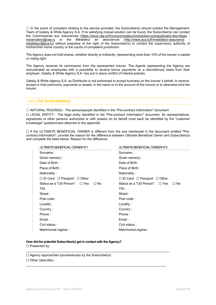$\Box$  In the event of complaint relating to the service provided, the Subscriber(s) should contact the Management-Team of Gatsby & White Agency S.A. If no satisfying mutual solution can be found, the Subscriber(s) can contact the Commissariat aux Assurances (https://www.caa.lu/fr/consommateurs/resolution-extrajudiciaire-des-litiges reclamation@caa.lu or the Médiateur en assurances (http://www.aca.lu/fr/mediateur-assurance mediateur@aca.lu) without prejudice of the right of the Subscriber(s) to contact the supervisory authority of his/her/their home country or the courts of competent jurisdiction.

The Agency does not hold shares, whether directly or indirectly, representing more than 10% of the insurer´s capital or voting right.

The Agency receives its commission from the represented insurer. The Agents representing the Agency are remunerated as employees with a possibility to receive bonus payments on a discretionary basis from their employer. Gatsby & White Agency S.A. has put in place conflict of interest policies.

Gatsby & White Agency S.A. as Distributor is not authorised to accept business on the Insurer´s behalf, to receive, accept or hold premiums, payments or assets, in the name or to the account of the insurer or to otherwise bind the insurer.

#### 1.2.1. THE SUBSCRIBER(S)

☐ NATURAL PESON(S) - The person/people identified in the "Pre-contract Information" document ☐ LEGAL ENTITY - The legal entity identified in the "Pre-contract Information" document. Its representatives, signatories or other persons authorized or with powers on its behalf must each be identified by the "customer knowledge" questionnaire attached to the appendix.

☐ If the ULTIMATE BENEFICIAL OWNER is different from the one mentioned in the document entitled "Precontract Information": provide the reason for the difference between Ultimate Beneficial Owner and Subscriber(s) and complete the table below. Reason for the difference:

| ULTIMATE BENEFICIAL OWNER N°1                    | ULTIMATE BENEFICIAL OWNER N°2                    |
|--------------------------------------------------|--------------------------------------------------|
| Surname:                                         | Surname:                                         |
| Given name(s):                                   | Given name(s):                                   |
| Date of Birth:                                   | Date of Birth:                                   |
| Place of Birth:                                  | Place of Birth:                                  |
| Nationality:                                     | Nationality:                                     |
| $\Box$ ID Card $\Box$ Passport $\Box$ Other      | $\Box$ ID Card $\Box$ Passport $\Box$ Other      |
| Status as a "US Person": $\Box$ Yes<br>$\Box$ No | Status as a "US Person": $\Box$ Yes<br>$\Box$ No |
| TIN :                                            | TIN :                                            |
| Street:                                          | Street:                                          |
| Post code:                                       | Post code:                                       |
| Locality:                                        | Locality:                                        |
| Country:                                         | Country:                                         |
| Phone:                                           | Phone:                                           |
| Email:                                           | Email:                                           |
| Civil status:                                    | Civil status:                                    |
| Matrimonial regime :                             | Matrimonial regime:                              |
|                                                  |                                                  |

 $\_$  , and the set of the set of the set of the set of the set of the set of the set of the set of the set of the set of the set of the set of the set of the set of the set of the set of the set of the set of the set of th

 $\_$  , and the set of the set of the set of the set of the set of the set of the set of the set of the set of the set of the set of the set of the set of the set of the set of the set of the set of the set of the set of th

# How did the potential Subscriber(s) get in contact with the Agency?

☐ Presented by:

 $\Box$  Agency approached spontaneously by the Subscriber(s)

☐ Other (describe) :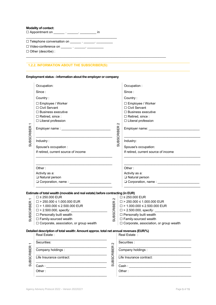# Modality of contact:

<u>⊪</u><br>□ Appointment on \_\_\_\_\_\_\_ . \_\_\_\_\_\_\_\_ . \_\_\_\_\_\_\_\_\_ in

 $\frac{1}{\sqrt{2}}$ ☐ Telephone conversation on \_\_\_\_\_\_ . \_\_\_\_\_\_. \_\_\_\_\_\_\_\_\_

☐ Video-conference on \_\_\_\_\_\_ . \_\_\_\_\_\_. \_\_\_\_\_\_\_\_\_

☐ Other (describe) :

# 1.2.2. INFORMATION ABOUT THE SUBSCRIBER(S):

# Employment status - information about the employer or company

 $\_$  , and the set of the set of the set of the set of the set of the set of the set of the set of the set of the set of the set of the set of the set of the set of the set of the set of the set of the set of the set of th

|                          | Occupation:                                                                                                                                      |                   |                   | Occupation:                                                         |  |
|--------------------------|--------------------------------------------------------------------------------------------------------------------------------------------------|-------------------|-------------------|---------------------------------------------------------------------|--|
|                          | Since:                                                                                                                                           |                   |                   | Since:                                                              |  |
|                          | Country:                                                                                                                                         |                   |                   | Country:                                                            |  |
|                          | □ Employee / Worker<br>□ Civil Servant<br>$\Box$ Business executive                                                                              |                   |                   | □ Employee / Worker<br>□ Civil Servant<br>$\Box$ Business executive |  |
|                          | $\Box$ Retired, since:                                                                                                                           |                   |                   | $\Box$ Retired, since:                                              |  |
|                          | □ Liberal profession                                                                                                                             |                   |                   | □ Liberal profession                                                |  |
|                          |                                                                                                                                                  |                   | $\sim$            |                                                                     |  |
| <b>SUBSCRIBER</b>        |                                                                                                                                                  |                   | <b>SUBSCRIBER</b> |                                                                     |  |
|                          |                                                                                                                                                  |                   |                   |                                                                     |  |
|                          | Industry:                                                                                                                                        |                   |                   | Industry:                                                           |  |
|                          | Spouse's occupation :                                                                                                                            |                   |                   | Spouse's occupation:                                                |  |
|                          | If retired, current source of income                                                                                                             |                   |                   | If retired, current source of income                                |  |
|                          |                                                                                                                                                  |                   |                   |                                                                     |  |
|                          | Other:                                                                                                                                           |                   |                   | Other:                                                              |  |
|                          | Activity as a:                                                                                                                                   |                   |                   | Activity as a:                                                      |  |
|                          | □ Natural person                                                                                                                                 |                   |                   | □ Natural person                                                    |  |
|                          |                                                                                                                                                  |                   |                   |                                                                     |  |
|                          |                                                                                                                                                  |                   |                   |                                                                     |  |
|                          | Estimate of total wealth (movable and real estate) before contracting (in EUR)                                                                   |                   |                   |                                                                     |  |
|                          | $\Box$ ≤ 250.000 EUR                                                                                                                             | $\sim$            |                   | $\square$ ≤ 250.000 EUR                                             |  |
|                          | $\square$ > 250.000 ≤ 1.000.000 EUR                                                                                                              |                   |                   | $\square$ > 250.000 ≤ 1.000.000 EUR                                 |  |
| <b>SUBSCIRBER</b>        | $\square$ > 1.000.000 ≤ 2.500.000 EUR                                                                                                            | <b>SUBSCRIBER</b> |                   | $\Box$ > 1.000.000 ≤ 2.500.000 EUR                                  |  |
|                          |                                                                                                                                                  |                   |                   |                                                                     |  |
|                          | □ Personally built wealth                                                                                                                        |                   |                   | □ Personally built wealth                                           |  |
|                          | □ Family-sourced wealth                                                                                                                          |                   |                   | □ Family-sourced wealth                                             |  |
|                          | □ Corporate, association, or group wealth                                                                                                        |                   |                   | □ Corporate, association, or group wealth                           |  |
|                          | Detailed description of total wealth: Amount approx. total net annual revenues (EUR/%)                                                           |                   |                   |                                                                     |  |
|                          | Real Estate:                                                                                                                                     |                   |                   | Real Estate:                                                        |  |
| $\overline{\phantom{0}}$ | Securities:                                                                                                                                      | $\sim$            |                   | Securities :                                                        |  |
|                          | Company holdings :                                                                                                                               |                   |                   | Company holdings :                                                  |  |
| <b>SUBSCRIBER</b>        | Life Insurance contract:<br><u> 1989 - Johann Barbara, martin amerikan basar dan berasal dalam basa dalam basar dalam basar dalam basa dalam</u> | <b>SUBSCRIBER</b> |                   | Life Insurance contract:                                            |  |
|                          | Cash:                                                                                                                                            |                   |                   | Cash :                                                              |  |
|                          |                                                                                                                                                  |                   |                   |                                                                     |  |

Other :

\_\_\_\_\_\_\_\_\_\_\_\_\_\_\_\_\_\_\_\_\_\_\_\_\_\_\_\_\_\_\_\_\_\_\_\_\_\_\_

Other :

\_\_\_\_\_\_\_\_\_\_\_\_\_\_\_\_\_\_\_\_\_\_\_\_\_\_\_\_\_\_\_\_\_\_\_\_\_\_\_\_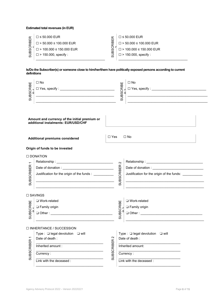# Estimated total revenues (in EUR)

| ш                        | $\Box \leq 50.000$ EUR           | ш        | $\Box \leq 50.000$ EUR         |
|--------------------------|----------------------------------|----------|--------------------------------|
| മ<br>$\overline{\alpha}$ | $\square$ > 50.000 ≤ 100.000 EUR | മ<br>œ   | $\Box$ > 50.000 ≤ 100.000 EUR  |
| ه                        | $\Box$ > 100.000 ≤ 150.000 EUR   | മ        | $\Box$ > 100.000 ≤ 150.000 EUR |
|                          | $\square$ > 150.000, specify :   | $\omega$ | $\square$ > 150.000, specify : |
|                          |                                  |          |                                |

# Is/Do the Subscriber(s) or someone close to him/her/them have politically exposed persons according to current definitions

| ш<br>SUBSCRIBE    | $\Box$ No<br><u> 1989 - Johann Harry Harry Harry Harry Harry Harry Harry Harry Harry Harry Harry Harry Harry Harry Harry Harry</u>                                               |                   | Ш<br>SUBSCRIBE    | $\Box$ No<br><u> 1989 - Johann Stoff, amerikansk politiker (* 1908)</u>                                       |
|-------------------|----------------------------------------------------------------------------------------------------------------------------------------------------------------------------------|-------------------|-------------------|---------------------------------------------------------------------------------------------------------------|
|                   | Amount and currency of the initial premium or<br>additional instalments: EUR/USD/CHF                                                                                             |                   |                   |                                                                                                               |
|                   | <b>Additional premiums considered</b>                                                                                                                                            | $\Box$ Yes        |                   | $\Box$ No                                                                                                     |
|                   | Origin of funds to be invested                                                                                                                                                   |                   |                   |                                                                                                               |
|                   | □ DONATION                                                                                                                                                                       |                   |                   |                                                                                                               |
|                   |                                                                                                                                                                                  |                   | $\sim$            |                                                                                                               |
|                   |                                                                                                                                                                                  |                   |                   |                                                                                                               |
| <b>SUBSCRIBER</b> | Justification for the origin of the funds : ___________<br><u> 2008 - Johann Johann Stoff, deutscher Stoffen und der Stoffen und der Stoffen und der Stoffen und der Stoffen</u> |                   | <b>SUBSCRIBER</b> | Justification for the origin of the funds: ___________<br><u> 1980 - Johann Barbara, martxa alemaniar arg</u> |
|                   |                                                                                                                                                                                  |                   |                   |                                                                                                               |
|                   | □ SAVINGS                                                                                                                                                                        |                   |                   |                                                                                                               |
| ш                 | □ Work-related                                                                                                                                                                   |                   |                   | □ Work-related                                                                                                |
|                   | □ Family origin                                                                                                                                                                  |                   |                   | □ Family origin                                                                                               |
| SUBSCRIBE         |                                                                                                                                                                                  |                   | SUBSCRIBE         |                                                                                                               |
|                   | <u> 1980 - Johann Barbara, martin amerikan personal (</u>                                                                                                                        |                   |                   |                                                                                                               |
|                   | $\Box$ INHERITANCE / SUCCESSION                                                                                                                                                  |                   |                   |                                                                                                               |
|                   | Type : $\Box$ legal devolution $\Box$ will                                                                                                                                       |                   |                   | Type : □ legal devolution □ will                                                                              |
|                   | Date of death:                                                                                                                                                                   | $\sim$            |                   | Date of death:                                                                                                |
| <b>SUBSCRIBER</b> | Inherited amount :                                                                                                                                                               | <b>SUBSCRIBER</b> |                   | Inherited amount:                                                                                             |
|                   | Currency :                                                                                                                                                                       |                   |                   | Currency :                                                                                                    |
|                   | Link with the deceased :                                                                                                                                                         |                   |                   | Link with the deceased :                                                                                      |
|                   |                                                                                                                                                                                  |                   |                   |                                                                                                               |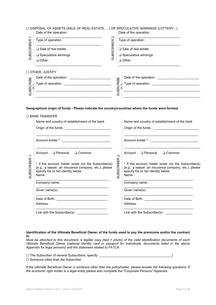| □ DISPOSAL OF ASSETS (SALE OF REAL ESTATE, ) OR SPECULATIVE WINNINGS (LOTTERY) |                         |
|--------------------------------------------------------------------------------|-------------------------|
| Date of the operation :                                                        | Date of the operation : |

| $\overline{\phantom{0}}$ | Type of operation :            | $\sim$      | Type of operation :                        |
|--------------------------|--------------------------------|-------------|--------------------------------------------|
| <b>SUBSCRIBER</b>        | □ Sale of real estate          | CRIBER      | □ Sale of real estate                      |
|                          | $\square$ Speculative winnings | <b>SUBS</b> | □ Speculative winnings                     |
|                          | $\Box$ Other:                  |             | $\Box$ Other:                              |
|                          | □ OTHER, JUSTIFY               |             |                                            |
|                          | Date of the operation :        |             | Date of the operation :                    |
| SUBSCRIBE                | Type of operation : _________  |             | SUBSCRIBE<br>Type of operation : _________ |
|                          |                                |             |                                            |

#### Geographical origin of funds - Please indicate the country/countries where the funds were formed.

#### ☐ BANK TRANSFER

|                | Name and country of establishment of the bank                                                                                                              |                   | Name and country of establishment of the bank                                                                                                              |
|----------------|------------------------------------------------------------------------------------------------------------------------------------------------------------|-------------------|------------------------------------------------------------------------------------------------------------------------------------------------------------|
|                |                                                                                                                                                            |                   |                                                                                                                                                            |
|                |                                                                                                                                                            |                   |                                                                                                                                                            |
|                | Account: □ Personal □ Common                                                                                                                               | $\sim$            | Account: □ Personal □ Common                                                                                                                               |
| CRIBER<br>SUBS | * If the account holder is/are not the Subscriber(s)<br>(e.g., a lawyer, an insurance company, etc.), please<br>specify his or her identity below<br>Name: | <b>SUBSCRIBER</b> | * If the account holder is/are not the Subscriber(s)<br>(e.g., a lawyer, an insurance company, etc.), please<br>specify his or her identity below<br>Name: |
|                | Company name:                                                                                                                                              |                   | Company name:                                                                                                                                              |
|                | Given name(s):                                                                                                                                             |                   | Given name(s):                                                                                                                                             |
|                | Address:                                                                                                                                                   |                   | Address:                                                                                                                                                   |
|                |                                                                                                                                                            |                   | Link with the Subscriber(s): _________________                                                                                                             |

### Identification of the Ultimate Beneficial Owner of the funds used to pay the premiums and/or the contract is:

Must be attached to this document, a legible copy (text + photo) of the valid identification documents of each Ultimate Beneficial Owner (national identity card or passport for individuals, documents listed in the above Appendix for legal persons) and the statement related to FATCA.

☐ The Subscriber (If several Subscribers, specify: \_\_\_\_\_\_\_\_\_\_\_\_\_\_\_\_\_\_\_\_\_\_\_\_\_\_\_\_\_\_\_\_\_\_\_\_\_\_\_\_)

☐ Someone other than the Subscriber

If the Ultimate Beneficial Owner is someone other than the policyholder, please answer the following questions. If the economic right holder is a legal entity please also complete the "Corporate Persons" Appendix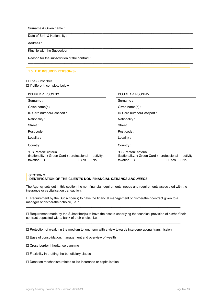Surname & Given name : \_\_\_\_\_\_\_\_\_\_\_\_\_\_\_\_\_\_\_\_\_\_\_\_\_\_\_\_\_\_\_\_\_\_\_\_\_\_\_\_\_\_\_\_\_\_\_\_\_\_\_\_\_\_\_\_\_\_\_\_\_\_\_\_\_\_\_\_\_\_\_\_\_\_\_\_\_\_\_\_\_\_\_\_\_\_\_\_\_\_\_ Date of Birth & Nationality :  $\mathcal{L}_\mathcal{L} = \{ \mathcal{L}_\mathcal{L} = \{ \mathcal{L}_\mathcal{L} = \{ \mathcal{L}_\mathcal{L} = \{ \mathcal{L}_\mathcal{L} = \{ \mathcal{L}_\mathcal{L} = \{ \mathcal{L}_\mathcal{L} = \{ \mathcal{L}_\mathcal{L} = \{ \mathcal{L}_\mathcal{L} = \{ \mathcal{L}_\mathcal{L} = \{ \mathcal{L}_\mathcal{L} = \{ \mathcal{L}_\mathcal{L} = \{ \mathcal{L}_\mathcal{L} = \{ \mathcal{L}_\mathcal{L} = \{ \mathcal{L}_\mathcal{$ Address :  $\mathcal{L}_\mathcal{L} = \{ \mathcal{L}_\mathcal{L} = \{ \mathcal{L}_\mathcal{L} = \{ \mathcal{L}_\mathcal{L} = \{ \mathcal{L}_\mathcal{L} = \{ \mathcal{L}_\mathcal{L} = \{ \mathcal{L}_\mathcal{L} = \{ \mathcal{L}_\mathcal{L} = \{ \mathcal{L}_\mathcal{L} = \{ \mathcal{L}_\mathcal{L} = \{ \mathcal{L}_\mathcal{L} = \{ \mathcal{L}_\mathcal{L} = \{ \mathcal{L}_\mathcal{L} = \{ \mathcal{L}_\mathcal{L} = \{ \mathcal{L}_\mathcal{$ Kinship with the Subscriber :  $\mathcal{L}_\mathcal{L} = \{ \mathcal{L}_\mathcal{L} = \{ \mathcal{L}_\mathcal{L} = \{ \mathcal{L}_\mathcal{L} = \{ \mathcal{L}_\mathcal{L} = \{ \mathcal{L}_\mathcal{L} = \{ \mathcal{L}_\mathcal{L} = \{ \mathcal{L}_\mathcal{L} = \{ \mathcal{L}_\mathcal{L} = \{ \mathcal{L}_\mathcal{L} = \{ \mathcal{L}_\mathcal{L} = \{ \mathcal{L}_\mathcal{L} = \{ \mathcal{L}_\mathcal{L} = \{ \mathcal{L}_\mathcal{L} = \{ \mathcal{L}_\mathcal{$ Reason for the subscription of the contract :  $\mathcal{L}_\mathcal{L} = \{ \mathcal{L}_\mathcal{L} = \{ \mathcal{L}_\mathcal{L} = \{ \mathcal{L}_\mathcal{L} = \{ \mathcal{L}_\mathcal{L} = \{ \mathcal{L}_\mathcal{L} = \{ \mathcal{L}_\mathcal{L} = \{ \mathcal{L}_\mathcal{L} = \{ \mathcal{L}_\mathcal{L} = \{ \mathcal{L}_\mathcal{L} = \{ \mathcal{L}_\mathcal{L} = \{ \mathcal{L}_\mathcal{L} = \{ \mathcal{L}_\mathcal{L} = \{ \mathcal{L}_\mathcal{L} = \{ \mathcal{L}_\mathcal{$ 

# 1.3. THE INSURED PERSON(S)

#### ☐ The Subscriber ☐ If different, complete below

| <b>INSURED PERSON N°1</b>                                                        |                                   | <b>INSURED PERSON N°2</b>                                                        |                                    |
|----------------------------------------------------------------------------------|-----------------------------------|----------------------------------------------------------------------------------|------------------------------------|
| Surname:                                                                         |                                   | Surname:                                                                         |                                    |
| Given name(s):                                                                   |                                   | Given name(s):                                                                   |                                    |
| ID Card number/Passport :                                                        |                                   | ID Card number/Passport :                                                        |                                    |
| Nationality:                                                                     |                                   | Nationality:                                                                     |                                    |
| Street:                                                                          |                                   | Street:                                                                          |                                    |
| Post code:                                                                       |                                   | Post code:                                                                       |                                    |
| Locality:                                                                        |                                   | Locality:                                                                        |                                    |
| Country:                                                                         |                                   | Country:                                                                         |                                    |
| "US Person" criteria<br>(Nationality, « Green Card », professional<br>taxation,) | activity,<br>$\Box$ Yes $\Box$ No | "US Person" criteria<br>(Nationality, « Green Card », professional<br>taxation,) | activity,<br>□ Yes<br>$\square$ No |

#### SECTION 2 IDENTIFICATION OF THE CLIENT'S NON-FINANCIAL DEMANDS AND NEEDS

The Agency sets out in this section the non-financial requirements, needs and requirements associated with the insurance or capitalisation transaction.

 $\Box$  Requirement by the Subscriber(s) to have the financial management of his/her/their contract given to a manager of his/her/their choice, i.e. :  $\_$  , and the state of the state of the state of the state of the state of the state of the state of the state of the state of the state of the state of the state of the state of the state of the state of the state of the

☐ Requirement made by the Subscriber(s) to have the assets underlying the technical provision of his/her/their contract deposited with a bank of their choice, i.e.:

 $\_$  , and the state of the state of the state of the state of the state of the state of the state of the state of the state of the state of the state of the state of the state of the state of the state of the state of the

☐ Protection of wealth in the medium to long term with a view towards intergenerational transmission

☐ Ease of consolidation, management and overview of wealth

☐ Cross-border inheritance planning

 $\Box$  Flexibility in drafting the beneficiary clause

☐ Donation mechanism related to life insurance or capitalisation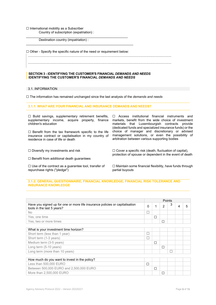#### ☐ International mobility as a Subscriber Country of subscription (expatriation) :

\_\_\_\_\_\_\_\_\_\_\_\_\_\_\_\_\_\_\_\_\_\_\_\_\_\_\_\_\_\_\_\_\_\_\_\_\_\_\_\_\_\_\_\_\_\_\_\_\_\_\_\_\_\_\_\_ Destination country (impatriation) :

☐ Other - Specify the specific nature of the need or requirement below:

 $\_$  , and the set of the set of the set of the set of the set of the set of the set of the set of the set of the set of the set of the set of the set of the set of the set of the set of the set of the set of the set of th

..............................................................................................................................................................

..............................................................................................................................................................

#### SECTION 3 - IDENTIFYING THE CUSTOMER'S FINANCIAL DEMANDS AND NEEDS IDENTIFYING THE CUSTOMER'S FINANCIAL DEMANDS AND NEEDS

#### 3.1. INFORMATION

□ The information has remained unchanged since the last analysis of the demands and needs

# 3.1.1. WHAT ARE YOUR FINANCIAL AND INSURANCE DEMANDS AND NEEDS?

☐ Build savings, supplementary retirement benefits, supplementary income, acquire property, finance children's education

☐ Benefit from the tax framework specific to the life insurance contract or capitalisation in my country of residence in case of life or death

☐ Benefit from additional death guarantees

☐ Use of the contract as a guarantee tool, transfer of repurchase rights ("pledge")

☐ Access institutional financial instruments and markets, benefit from the wide choice of investment materials that Luxembourgish contracts provide (dedicated funds and specialized insurance funds) or the choice of manager and discretionary or advised management solutions, or even the possibility of arbitration between various supporting bodies

☐ Diversify my investments and risk ☐ Cover a specific risk (death, fluctuation of capital), protection of spouse or dependent in the event of death

> ☐ Maintain some financial flexibility, have funds through partial buyouts

#### 3.1.2. GENERAL QUESTIONNAIRE, FINANCIAL KNOWLEDGE, FINANCIAL RISK TOLERANCE AND INSURANCE KNOWLEDGE

|                                                                                                            |                          |   |                | <b>Points</b> |   |   |
|------------------------------------------------------------------------------------------------------------|--------------------------|---|----------------|---------------|---|---|
| Have you signed up for one or more life insurance policies or capitalisation<br>tools in the last 5 years? | $\Omega$                 |   | $\overline{2}$ | 3             | 4 | 5 |
| No.                                                                                                        | $\overline{\phantom{a}}$ |   |                |               |   |   |
| Yes, one time                                                                                              |                          | □ |                |               |   |   |
| Yes, two or more times                                                                                     |                          |   | П              |               |   |   |
|                                                                                                            |                          |   |                |               |   |   |
| What is your investment time horizon?                                                                      |                          |   |                |               |   |   |
| Short term (less than 1 year)                                                                              | П                        |   |                |               |   |   |
| Short term (1-3 years)                                                                                     |                          |   |                |               |   |   |
| Medium term (3-5 years)                                                                                    |                          | □ |                |               |   |   |
| Long term (5-10 years)                                                                                     |                          |   | г              |               |   |   |
| Long term (more than 10 years)                                                                             |                          |   |                |               |   |   |
|                                                                                                            |                          |   |                |               |   |   |
| How much do you want to invest in the policy?                                                              |                          |   |                |               |   |   |
| Less than 500,000 EURO                                                                                     | П                        |   |                |               |   |   |
| Between 500,000 EURO and 2,500,000 EURO                                                                    |                          | П |                |               |   |   |
| More than 2,500,000 EURO                                                                                   |                          |   | П              |               |   |   |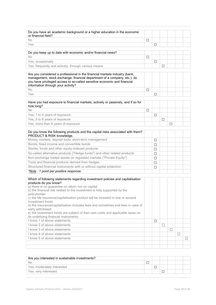| or financial field?                                                                                                                                                                                                                                                                                                                                                                                                                                                                                                                                                                                |        |        |   |   |        |   |
|----------------------------------------------------------------------------------------------------------------------------------------------------------------------------------------------------------------------------------------------------------------------------------------------------------------------------------------------------------------------------------------------------------------------------------------------------------------------------------------------------------------------------------------------------------------------------------------------------|--------|--------|---|---|--------|---|
|                                                                                                                                                                                                                                                                                                                                                                                                                                                                                                                                                                                                    |        |        |   |   |        |   |
| <b>No</b>                                                                                                                                                                                                                                                                                                                                                                                                                                                                                                                                                                                          | $\Box$ |        |   |   |        |   |
| Yes                                                                                                                                                                                                                                                                                                                                                                                                                                                                                                                                                                                                |        | □      |   |   |        |   |
| Do you keep up to date with economic and/or financial news?                                                                                                                                                                                                                                                                                                                                                                                                                                                                                                                                        |        |        |   |   |        |   |
| No                                                                                                                                                                                                                                                                                                                                                                                                                                                                                                                                                                                                 | □      |        |   |   |        |   |
| Yes, occasionally                                                                                                                                                                                                                                                                                                                                                                                                                                                                                                                                                                                  |        | $\Box$ |   |   |        |   |
| Yes, frequently and actively, through various means                                                                                                                                                                                                                                                                                                                                                                                                                                                                                                                                                |        |        | □ |   |        |   |
| Are you considered a professional in the financial markets industry (bank,<br>management, stock exchange, financial department of a company, etc.), do<br>you have privileged access to so-called sensitive economic and financial<br>information through your activity?                                                                                                                                                                                                                                                                                                                           |        |        |   |   |        |   |
| No                                                                                                                                                                                                                                                                                                                                                                                                                                                                                                                                                                                                 | □      |        |   |   |        |   |
| Yes                                                                                                                                                                                                                                                                                                                                                                                                                                                                                                                                                                                                |        | $\Box$ |   |   |        |   |
| Have you had exposure to financial markets, actively or passively, and if so for<br>how long?                                                                                                                                                                                                                                                                                                                                                                                                                                                                                                      |        |        |   |   |        |   |
| No                                                                                                                                                                                                                                                                                                                                                                                                                                                                                                                                                                                                 | □      |        |   |   |        |   |
| Yes, 1 to 4 years of exposure                                                                                                                                                                                                                                                                                                                                                                                                                                                                                                                                                                      |        | □      |   |   |        |   |
| Yes, 5 to 8 years of exposure                                                                                                                                                                                                                                                                                                                                                                                                                                                                                                                                                                      |        |        | □ |   |        |   |
| Yes, more than 8 years of exposure                                                                                                                                                                                                                                                                                                                                                                                                                                                                                                                                                                 |        |        |   | □ |        |   |
| Do you know the following products and the capital risks associated with them?<br>PRODUCT & RISK knowledge.                                                                                                                                                                                                                                                                                                                                                                                                                                                                                        |        |        |   |   |        |   |
| Money markets, deposit tools, short-term management                                                                                                                                                                                                                                                                                                                                                                                                                                                                                                                                                |        | □      |   |   |        |   |
| Bonds, fixed income and convertible bonds                                                                                                                                                                                                                                                                                                                                                                                                                                                                                                                                                          |        | □      |   |   |        |   |
| Stocks, funds and other equity-indexed products                                                                                                                                                                                                                                                                                                                                                                                                                                                                                                                                                    |        | □      |   |   |        |   |
| So-called alternative products ("Hedge funds") and other related products                                                                                                                                                                                                                                                                                                                                                                                                                                                                                                                          |        | □      |   |   |        |   |
| Non-exchange traded assets on regulated markets ("Private Equity")                                                                                                                                                                                                                                                                                                                                                                                                                                                                                                                                 |        | □      |   |   |        |   |
| Tools and financial products derived from hedges                                                                                                                                                                                                                                                                                                                                                                                                                                                                                                                                                   |        | □      |   |   |        |   |
| Structured financial instruments with or without capital protection                                                                                                                                                                                                                                                                                                                                                                                                                                                                                                                                |        | □      |   |   |        |   |
| *Note: 1 point per positive response.                                                                                                                                                                                                                                                                                                                                                                                                                                                                                                                                                              |        |        |   |   |        |   |
| Which of following statements regarding investment policies and capitalisation<br>products do you know?<br>a) there is no guarantee on return nor on capital<br>b) the financial risk related to the investment is fully supported by the<br>policyholder<br>c) the life insurance/capitalisation product will be invested in one or several<br>Investment funds<br>d) the insurance/capitalisation includes fees and sometimes exit fees in case of<br>early withdrawal<br>e) the investment funds are subject of their own costs and applicable taxes on<br>its underlying financial instruments |        |        |   |   |        |   |
| I know 1 of above statements                                                                                                                                                                                                                                                                                                                                                                                                                                                                                                                                                                       |        | $\Box$ |   |   |        |   |
| I know 2 of above statements                                                                                                                                                                                                                                                                                                                                                                                                                                                                                                                                                                       |        |        | □ |   |        |   |
| I know 3 of above statements                                                                                                                                                                                                                                                                                                                                                                                                                                                                                                                                                                       |        |        |   | □ |        |   |
| I know 4 of above statements                                                                                                                                                                                                                                                                                                                                                                                                                                                                                                                                                                       |        |        |   |   | $\Box$ |   |
|                                                                                                                                                                                                                                                                                                                                                                                                                                                                                                                                                                                                    |        |        |   |   |        | П |
| I know 5 of above statements                                                                                                                                                                                                                                                                                                                                                                                                                                                                                                                                                                       |        |        |   |   |        |   |

| Are you interested in sustainable investments? |  |  |  |  |
|------------------------------------------------|--|--|--|--|
| No                                             |  |  |  |  |
| Yes, moderately interested                     |  |  |  |  |
| Yes, very interested                           |  |  |  |  |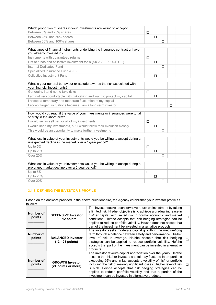| Which proportion of shares in your investments are willing to accept? |  |  |  |  |
|-----------------------------------------------------------------------|--|--|--|--|
| Between 0% and 25% shares                                             |  |  |  |  |
| Between 25% and 50% shares                                            |  |  |  |  |
| Between 50% and 100% shares                                           |  |  |  |  |

| What types of financial instruments underlying the insurance contract or have<br>you already invested in? |  |  |  |
|-----------------------------------------------------------------------------------------------------------|--|--|--|
| Instruments with guaranteed returns                                                                       |  |  |  |
| List of funds and collective investment tools (SICAV, FP, UCITS)                                          |  |  |  |
| Internal Dedicated Fund                                                                                   |  |  |  |
| Specialized Insurance Fund (SIF)                                                                          |  |  |  |
| Collective Investment Fund                                                                                |  |  |  |

| What is your general behaviour or attitude towards the risk associated with<br>your financial investments? |  |        |  |  |
|------------------------------------------------------------------------------------------------------------|--|--------|--|--|
| Generally, I tend not to take risks                                                                        |  |        |  |  |
| am not very comfortable with risk-taking and want to protect my capital                                    |  |        |  |  |
| accept a temporary and moderate fluctuation of my capital                                                  |  | $\Box$ |  |  |
| accept larger fluctuations because I am a long-term investor                                               |  |        |  |  |

| How would you react if the value of your investments or insurances were to fall<br>sharply in the short term? |  |  |  |
|---------------------------------------------------------------------------------------------------------------|--|--|--|
| I would sell or sell part or all of my investments                                                            |  |  |  |
| I would keep my investments, but I would follow their evolution closely                                       |  |  |  |
| This would be an opportunity to make further investments                                                      |  |  |  |

| What loss in value of your investments would you be willing to accept during an<br>unexpected decline in the market over a 1-year period? |  |  |  |
|-------------------------------------------------------------------------------------------------------------------------------------------|--|--|--|
| Up to $5\%$                                                                                                                               |  |  |  |
| Up to $20\%$                                                                                                                              |  |  |  |
| Over 20%                                                                                                                                  |  |  |  |
|                                                                                                                                           |  |  |  |

| Up to $5\%$  |  |  |
|--------------|--|--|
| Up to $20\%$ |  |  |
| Over 20%     |  |  |

# 3.1.3. DEFINING THE INVESTOR'S PROFILE

Based on the answers provided in the above questionnaire, the Agency establishes your investor profile as follows:

| Number of<br>points | <b>DEFENSIVE Investor</b><br>$0 - 12$ points   | The investor seeks a conservative return on investment by taking<br>a limited risk. His/her objective is to achieve a gradual increase in<br>his/her capital with limited risk in normal economic and market<br>conditions. He/she accepts that risk hedging strategies can be<br>applied to reduce portfolio volatility. He/she does not accept that<br>part of the investment be invested in alternative products.                                                             |  |
|---------------------|------------------------------------------------|----------------------------------------------------------------------------------------------------------------------------------------------------------------------------------------------------------------------------------------------------------------------------------------------------------------------------------------------------------------------------------------------------------------------------------------------------------------------------------|--|
| Number of<br>points | <b>BALANCED Investor</b><br>$(13 - 23$ points) | The investor seeks moderate capital growth in the medium/long<br>term through a balance between safety and performance. His/her<br>level of risk is average. He/she accepts that risk hedging<br>strategies can be applied to reduce portfolio volatility. He/she<br>accepts that part of the investment can be invested in alternative<br>products.                                                                                                                             |  |
| Number of<br>points | <b>GROWTH Investor</b><br>(24 points or more)  | The investor favours capital appreciation over the years. He/she<br>accepts that his/her invested capital may fluctuate in proportions<br>exceeding 25% and in fact accepts a volatility of his/her portfolio<br>including the risk of making significant losses. His/her level of risk<br>is high. He/she accepts that risk hedging strategies can be<br>applied to reduce portfolio volatility and that a portion of the<br>investment can be invested in alternative products |  |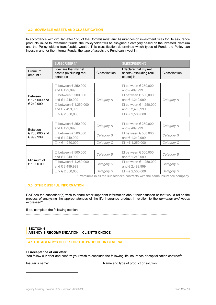# 3.2. MOVEABLE ASSETS AND CLASSIFICATION

In accordance with circular letter 15/3 of the Commissariat aux Assurances on investment rules for life assurance products linked to investment funds, the Policyholder will be assigned a category based on the invested Premium and the Policyholder's transferable wealth. This classification determines which types of Funds the Policy can invest in and for the Internal Funds, the type of assets the Fund can invest in.

|                                 | <b>SUBSCRIBER N°1</b>                                         |                | <b>SUBSCRIBER N°2</b>                                         |                |
|---------------------------------|---------------------------------------------------------------|----------------|---------------------------------------------------------------|----------------|
| Premium<br>amount *             | I declare that my net<br>assets (excluding real<br>estate) is | Classification | I declare that my net<br>assets (excluding real<br>estate) is | Classification |
|                                 |                                                               |                |                                                               |                |
|                                 | □ between $€ 250,000$<br>and €499.999                         |                | □ between $€ 250,000$<br>and €499.999                         |                |
| <b>Between</b><br>€ 125,000 and | □ between $€ 500,000$<br>and € 1,249,999                      | Category A     | □ between $€ 500,000$<br>and € 1,249,999                      | Category A     |
| € 249,999                       | □ between € 1,250,000<br>and € 2,499,999                      |                | □ between $€ 1,250,000$<br>and € 2,499,999                    |                |
|                                 | $\Box$ > $\in$ 2,500,000                                      |                | $\Box$ > $\in$ 2,500,000                                      |                |
|                                 |                                                               |                |                                                               |                |
| <b>Between</b>                  | □ between $€ 250,000$<br>and €499,999                         | Category A     | □ between $€ 250,000$<br>and € 499,999                        | Category A     |
| € 250,000 and<br>€ 999,999      | □ between $€ 500,000$<br>and € 1,249,999                      | Category B     | □ between $€ 500,000$<br>and € 1,249,999                      | Category B     |
|                                 | $\Box$ > $\in$ 1,250,000                                      | Category C     | $\Box$ > $\in$ 1,250,000                                      | Category C     |
|                                 |                                                               |                |                                                               |                |
|                                 | □ between $\epsilon$ 500.000<br>and € 1,249,999               | Category B     | □ between $€ 500,000$<br>and € 1,249,999                      | Category B     |
| Minimum of<br>€ 1.000.000       | □ between $€ 1,250,000$<br>and € 2,499,999                    | Category C     | □ between $\in$ 1,250,000<br>and € 2,499,999                  | Category C     |
|                                 | $\geq 2.500.000$                                              | Category D     | $\Box$ > $\in$ 2.500.000                                      | Category D     |

\* Premiums in all the subscriber's contracts with the same insurance company

## 3.3. OTHER USEFUL INFORMATION

Do/Does the subscriber(s) wish to share other important information about their situation or that would refine the process of analysing the appropriateness of the life insurance product in relation to the demands and needs expressed?

#### If so, complete the following section:

.............................................................................................................................................................. ..............................................................................................................................................................

#### **SECTION 4** AGENCY´S RECOMMENDATION – CLIENT'S CHOICE

#### 4.1 THE AGENCY'S OFFER FOR THE PRODUCT IN GENERAL

#### □ Acceptance of our offer

You follow our offer and confirm your wish to conclude the following life insurance or capitalization contract<sup>1</sup>:

Insurer's name:  $\blacksquare$  Name and type of product or solution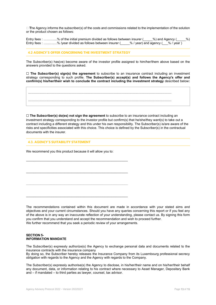$\Box$  The Agency informs the subscriber(s) of the costs and commissions related to the implementation of the solution or the product chosen as follows:

Entry fees : ………….% of the initial premium divided as follows between insurer ( $\_\_\_\%$ ) and Agency ( $\_\_\%$ ) [vear ] Entry fees : ………….% /vear divided as follows between insurer ( $\_\_\%$  / vear ) and agency ( $\_\_\%$  / vear ) Entry fees : ………….% /year divided as follows between insurer ( $\frac{1}{2}$  /year) and agency (

#### 4.2 AGENCY´S OFFER CONCERNING THE INVESTMENT STRATEGY

The Subscriber(s) has(ve) become aware of the investor profile assigned to him/her/them above based on the answers provided to the questions asked.

 $\Box$  The Subscriber(s) sign(s) the agreement to subscribe to an insurance contract including an investment strategy corresponding to such profile. The Subscriber(s) accept(s) and follows the Agency's offer and confirm(s) his/her/their wish to conclude the contract including the investment strategy described below:

.............................................................................................................................................................. ..............................................................................................................................................................

 $\Box$  The Subscriber(s) do(es) not sign the agreement to subscribe to an insurance contract including an investment strategy corresponding to the investor profile but confirm(s) that he/she/they want(s) to take out a contract including a different strategy and this under his own responsibility. The Subscriber(s) is/are aware of the risks and specificities associated with this choice. This choice is defined by the Subscriber(s) in the contractual documents with the insurer.

#### 4.3. AGENCY´S SUITABILITY STATEMENT

We recommend you this product because it will allow you to:

\_\_\_\_\_\_\_\_\_\_\_\_\_\_\_\_\_\_\_\_\_\_\_\_\_\_\_\_\_\_\_\_\_\_\_\_\_\_\_\_\_\_\_\_\_\_\_\_\_\_\_\_\_\_\_\_

\_\_\_\_\_\_\_\_\_\_\_\_\_\_\_\_\_\_\_\_\_\_\_\_\_\_\_\_\_\_\_\_\_\_\_\_\_\_\_\_\_\_\_\_\_\_\_\_\_\_\_\_\_\_\_\_

\_\_\_\_\_\_\_\_\_\_\_\_\_\_\_\_\_\_\_\_\_\_\_\_\_\_\_\_\_\_\_\_\_\_\_\_\_\_\_\_\_\_\_\_\_\_\_\_\_\_\_\_\_\_\_\_

The recommendations contained within this document are made in accordance with your stated aims and objectives and your current circumstances. Should you have any queries concerning this report or if you feel any of the above is in any way an inaccurate reflection of your understanding, please contact us. By signing this form you confirm that you understand and accept the recommendation and wish to proceed further. We further recommend that you seek a periodic review of your arrangements.

#### SECTION 5- INFORMATION MANDATE

The Subscriber(s) expressly authorize(s) the Agency to exchange personal data and documents related to the insurance contracts with the insurance company

By doing so, the Subscriber hereby releases the Insurance Company from its Luxembourg professional secrecy obligation with regards to the Agency and the Agency with regards to the Company.

The Subscriber(s) expressly authorise(s) the Agency to disclose, in his/her/their name and on his/her/their behalf any document, data, or information relating to his contract where necessary to Asset Manager, Depositary Bank and – if mandated – to third parties as lawyer, counsel, tax advisor.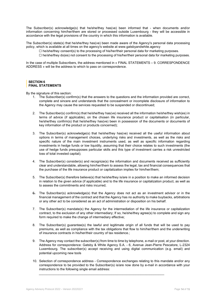The Subscriber(s) acknowledge(s) that he/she/they has(ve) been informed that - when documents and/or information concerning him/her/them are stored or processed outside Luxembourg - they will be accessible in accordance with the legal provisions of the country in which this information is available.

The Subscriber(s) state(s) that he/she/they has(ve) been made aware of the Agency's personal data processing policy, which is available at all times on the agency's website at www.gatsbyandwhite.agency

- $\Box$  he/she/they consent(s) to the processing of his/her/their personal data for marketing purposes.
- $\Box$  he/she/they do(es) not consent to the processing of his/her/their personal data for marketing purposes.

In the case of multiple Subscribers, the address mentioned in « FINAL STATEMENTS – 9. CORRESPONDENCE ADDRESS » will be the address to which to pass on correspondence.

#### SECTION 6 FINAL STATEMENTS

By the signature of this section:

- 1. The Subscriber(s) confirm(s) that the answers to the questions and the information provided are correct, complete and sincere and understands that the concealment or incomplete disclosure of information to the Agency may cause the services requested to be suspended or discontinued;
- 2. The Subscriber(s) confirm(s) that he/she/they has(ve) received all the information he/she/they wish(es) in terms of advice (if applicable), on the chosen life insurance product or capitalisation (in particular, he/she/they confirm(s) that he/she/they has(ve) been in possession of the documents or documents of key information of the product or products concerned);
- 3. The Subscriber(s) acknowledge(s) that he/she/they has(ve) received all the useful information about options in terms of management choices, underlying risks and investments, as well as the risks and specific nature of the main investment instruments used, as well as specific information regarding investments in hedge funds or low liquidity, assuming that their choice relates to such investments (the use of hedge funds presupposes particular skills and this type of investment carries a risk unrestricted loss of total invested capital);
- 4. The Subscriber(s) consider(s) and recognize(s) the information and documents received as sufficiently clear and understandable, allowing him/her/them to assess the legal, tax and financial consequences that the purchase of the life insurance product or capitalization implies for him/her/them;
- 5. The Subscriber(s) therefore believe(s) that he/she/they is/are in a position to make an informed decision in relation to the given advice (if applicable) and to the life insurance or capitalization product, as well as to assess the commitments and risks incurred;
- 6. The Subscriber(s) acknowledge(s) that the Agency does not act as an investment advisor or in the financial management of the contract and that the Agency has no authority to make buybacks, arbitrations or any other act to be considered as an act of administration or disposition on his behalf.
- 7. The Subscriber(s) mandate(s) the Agency for the intermediation of the life insurance or capitalization contract, to the exclusion of any other intermediary; If so, he/she/they agree(s) to complete and sign any form required to make the change of intermediary effective;
- 8. The Subscriber(s) guarantee(s) the lawful and legitimate origin of all funds that will be used to pay premiums, as well as compliance with the tax obligations that flow to him/her/them and the underwriting of insurance contracts in his/her/their country of tax residence.;
- 9. The Agency may contact the subscriber(s) from time to time by telephone, e-mail or post, at your direction. Address for correspondence: Gatsby & White Agency S.A. - 6, Avenue Jean-Pierre Pescatore, L-2324 Luxembourg. The subscriber(s) accept receiving and using digital communication (e.g. email) and potential upcoming new tools
- 10. Selection of correspondence address Correspondence exchanges relating to this mandate and/or any correspondence to be provided to the Subscriber(s) is/are now done by e-mail in accordance with your instructions to the following single email address:

 $\mathcal{L}_\mathcal{L} = \{ \mathcal{L}_\mathcal{L} = \{ \mathcal{L}_\mathcal{L} = \{ \mathcal{L}_\mathcal{L} = \{ \mathcal{L}_\mathcal{L} = \{ \mathcal{L}_\mathcal{L} = \{ \mathcal{L}_\mathcal{L} = \{ \mathcal{L}_\mathcal{L} = \{ \mathcal{L}_\mathcal{L} = \{ \mathcal{L}_\mathcal{L} = \{ \mathcal{L}_\mathcal{L} = \{ \mathcal{L}_\mathcal{L} = \{ \mathcal{L}_\mathcal{L} = \{ \mathcal{L}_\mathcal{L} = \{ \mathcal{L}_\mathcal{$